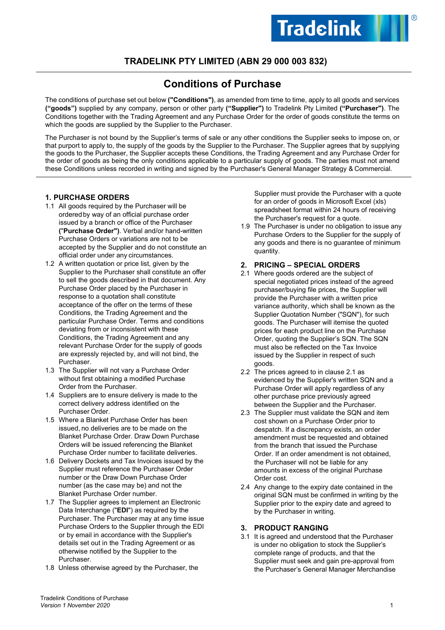# **TRADELINK PTY LIMITED (ABN 29 000 003 832)**

# **Conditions of Purchase**

The conditions of purchase set out below **("Conditions")**, as amended from time to time, apply to all goods and services **("goods")** supplied by any company, person or other party **("Supplier")** to Tradelink Pty Limited **("Purchaser")**. The Conditions together with the Trading Agreement and any Purchase Order for the order of goods constitute the terms on which the goods are supplied by the Supplier to the Purchaser.

The Purchaser is not bound by the Supplier's terms of sale or any other conditions the Supplier seeks to impose on, or that purport to apply to, the supply of the goods by the Supplier to the Purchaser. The Supplier agrees that by supplying the goods to the Purchaser, the Supplier accepts these Conditions, the Trading Agreement and any Purchase Order for the order of goods as being the only conditions applicable to a particular supply of goods. The parties must not amend these Conditions unless recorded in writing and signed by the Purchaser's General Manager Strategy & Commercial.

# **1. PURCHASE ORDERS**

- 1.1 All goods required by the Purchaser will be orderedby way of an official purchase order issued by a branch or office of the Purchaser **(**"**Purchase Order")**. Verbal and/or hand-written Purchase Orders or variations are not to be accepted by the Supplier and do not constitute an official order under any circumstances.
- 1.2 A written quotation or price list, given by the Supplier to the Purchaser shall constitute an offer to sell the goods described in that document. Any Purchase Order placed by the Purchaser in response to a quotation shall constitute acceptance of the offer on the terms of these Conditions, the Trading Agreement and the particular Purchase Order. Terms and conditions deviating from or inconsistent with these Conditions, the Trading Agreement and any relevant Purchase Order for the supply of goods are expressly rejected by, and will not bind, the Purchaser.
- 1.3 The Supplier will not vary a Purchase Order without first obtaining a modified Purchase Order from the Purchaser.
- 1.4 Suppliers are to ensure delivery is made to the correct delivery address identified on the Purchaser Order.
- 1.5 Where a Blanket Purchase Order has been issued, no deliveries are to be made on the Blanket Purchase Order. Draw Down Purchase Orders will be issued referencing the Blanket Purchase Order number to facilitate deliveries.
- 1.6 Delivery Dockets and Tax Invoices issued by the Supplier must reference the Purchaser Order number or the Draw Down Purchase Order number (as the case may be) and not the Blanket Purchase Order number.
- 1.7 The Supplier agrees to implement an Electronic Data Interchange ("**EDI**") as required by the Purchaser. The Purchaser may at any time issue Purchase Orders to the Supplier through the EDI or by email in accordance with the Supplier's details set out in the Trading Agreement or as otherwise notified by the Supplier to the Purchaser.
- 1.8 Unless otherwise agreed by the Purchaser, the

Supplier must provide the Purchaser with a quote for an order of goods in Microsoft Excel (xls) spreadsheet format within 24 hours of receiving the Purchaser's request for a quote.

1.9 The Purchaser is under no obligation to issue any Purchase Orders to the Supplier for the supply of any goods and there is no guarantee of minimum quantity.

#### **2. PRICING – SPECIAL ORDERS**

- 2.1 Where goods ordered are the subject of special negotiated prices instead of the agreed purchaser/buying file prices, the Supplier will provide the Purchaser with a written price variance authority, which shall be known as the Supplier Quotation Number ("SQN"), for such goods. The Purchaser will itemise the quoted prices for each product line on the Purchase Order, quoting the Supplier's SQN. The SQN must also be reflected on the Tax Invoice issued by the Supplier in respect of such goods.
- 2.2 The prices agreed to in clause 2.1 as evidenced by the Supplier's written SQN and a Purchase Order will apply regardless of any other purchase price previously agreed between the Supplier and the Purchaser.
- 2.3 The Supplier must validate the SQN and item cost shown on a Purchase Order prior to despatch. If a discrepancy exists, an order amendment must be requested and obtained from the branch that issued the Purchase Order. If an order amendment is not obtained, the Purchaser will not be liable for any amounts in excess of the original Purchase Order cost.
- 2.4 Any change to the expiry date contained in the original SQN must be confirmed in writing by the Supplier prior to the expiry date and agreed to by the Purchaser in writing.

#### **3. PRODUCT RANGING**

3.1 It is agreed and understood that the Purchaser is under no obligation to stock the Supplier's complete range of products, and that the Supplier must seek and gain pre-approval from the Purchaser's General Manager Merchandise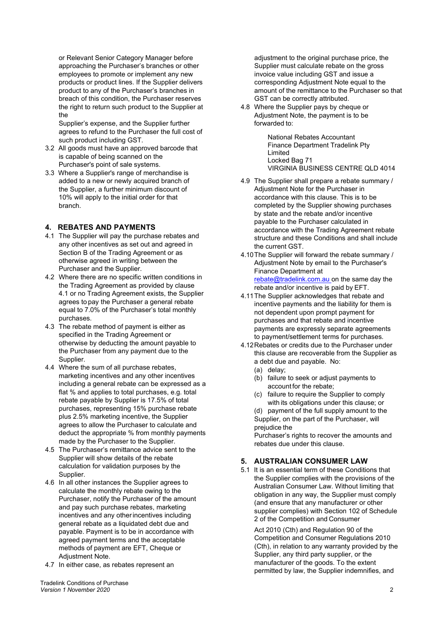or Relevant Senior Category Manager before approaching the Purchaser's branches or other employees to promote or implement any new products or product lines. If the Supplier delivers product to any of the Purchaser's branches in breach of this condition, the Purchaser reserves the right to return such product to the Supplier at the

Supplier's expense, and the Supplier further agrees to refund to the Purchaser the full cost of such product including GST.

- 3.2 All goods must have an approved barcode that is capable of being scanned on the Purchaser's point of sale systems.
- 3.3 Where a Supplier's range of merchandise is added to a new or newly acquired branch of the Supplier, a further minimum discount of 10% will apply to the initial order for that branch.

#### **4. REBATES AND PAYMENTS**

- 4.1 The Supplier will pay the purchase rebates and any other incentives as set out and agreed in Section B of the Trading Agreement or as otherwise agreed in writing between the Purchaser and the Supplier.
- 4.2 Where there are no specific written conditions in the Trading Agreement as provided by clause 4.1 or no Trading Agreement exists, the Supplier agrees to pay the Purchaser a general rebate equal to 7.0% of the Purchaser's total monthly purchases.
- 4.3 The rebate method of payment is either as specified in the Trading Agreement or otherwise by deducting the amount payable to the Purchaser from any payment due to the Supplier.
- 4.4 Where the sum of all purchase rebates, marketing incentives and any other incentives including a general rebate can be expressed as a flat % and applies to total purchases, e.g. total rebate payable by Supplier is 17.5% of total purchases, representing 15% purchase rebate plus 2.5% marketing incentive, the Supplier agrees to allow the Purchaser to calculate and deduct the appropriate % from monthly payments made by the Purchaser to the Supplier.
- 4.5 The Purchaser's remittance advice sent to the Supplier will show details of the rebate calculation for validation purposes by the Supplier.
- 4.6 In all other instances the Supplier agrees to calculate the monthly rebate owing to the Purchaser, notify the Purchaser of the amount and pay such purchase rebates, marketing incentives and any otherincentives including general rebate as a liquidated debt due and payable. Payment is to be in accordance with agreed payment terms and the acceptable methods of payment are EFT, Cheque or Adjustment Note.
- 4.7 In either case, as rebates represent an

adjustment to the original purchase price, the Supplier must calculate rebate on the gross invoice value including GST and issue a corresponding Adjustment Note equal to the amount of the remittance to the Purchaser so that GST can be correctly attributed.

4.8 Where the Supplier pays by cheque or Adjustment Note, the payment is to be forwarded to:

> National Rebates Accountant Finance Department Tradelink Pty Limited Locked Bag 71 VIRGINIA BUSINESS CENTRE QLD 4014

- 4.9 The Supplier shall prepare a rebate summary / Adjustment Note for the Purchaser in accordance with this clause. This is to be completed by the Supplier showing purchases by state and the rebate and/or incentive payable to the Purchaser calculated in accordance with the Trading Agreement rebate structure and these Conditions and shall include the current GST.
- 4.10The Supplier will forward the rebate summary / Adjustment Note by email to the Purchaser's Finance Department at [rebate@tradelink.com.au o](mailto:rebate@tradelink.com.au)n the same day the rebate and/or incentive is paid by EFT.
- 4.11The Supplier acknowledges that rebate and incentive payments and the liability for them is not dependent upon prompt payment for purchases and that rebate and incentive payments are expressly separate agreements to payment/settlement terms for purchases.
- 4.12Rebates or credits due to the Purchaser under this clause are recoverable from the Supplier as a debt due and payable. No:
	- (a) delay;
	- (b) failure to seek or adjust payments to account for the rebate;
	- (c) failure to require the Supplier to comply with its obligations under this clause; or (d) payment of the full supply amount to the Supplier, on the part of the Purchaser, will prejudice the

Purchaser's rights to recover the amounts and rebates due under this clause.

# **5. AUSTRALIAN CONSUMER LAW**

5.1 It is an essential term of these Conditions that the Supplier complies with the provisions of the Australian Consumer Law. Without limiting that obligation in any way, the Supplier must comply (and ensure that any manufacturer or other supplier complies) with Section 102 of Schedule 2 of the Competition and Consumer

Act 2010 (Cth) and Regulation 90 of the Competition and Consumer Regulations 2010 (Cth), in relation to any warranty provided by the Supplier, any third party supplier, or the manufacturer of the goods. To the extent permitted by law, the Supplier indemnifies, and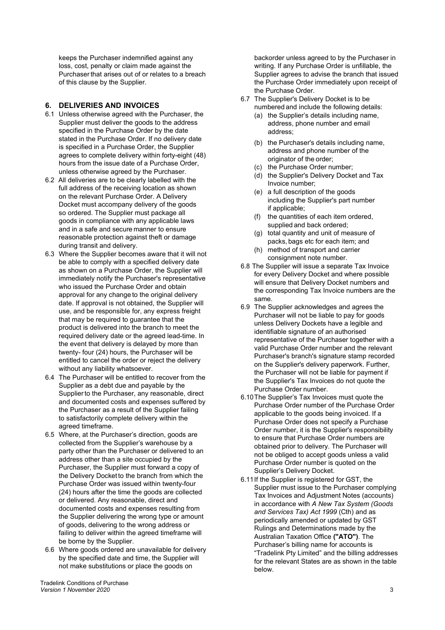keeps the Purchaser indemnified against any loss, cost, penalty or claim made against the Purchaser that arises out of or relates to a breach of this clause by the Supplier.

# **6. DELIVERIES AND INVOICES**

- 6.1 Unless otherwise agreed with the Purchaser, the Supplier must deliver the goods to the address specified in the Purchase Order by the date stated in the Purchase Order. If no delivery date is specified in a Purchase Order, the Supplier agrees to complete delivery within forty-eight (48) hours from the issue date of a Purchase Order, unless otherwise agreed by the Purchaser.
- 6.2 All deliveries are to be clearly labelled with the full address of the receiving location as shown on the relevant Purchase Order. A Delivery Docket must accompany delivery of the goods so ordered. The Supplier must package all goods in compliance with any applicable laws and in a safe and secure manner to ensure reasonable protection against theft or damage during transit and delivery.
- 6.3 Where the Supplier becomes aware that it will not be able to comply with a specified delivery date as shown on a Purchase Order, the Supplier will immediately notify the Purchaser's representative who issued the Purchase Order and obtain approval for any change to the original delivery date. If approval is not obtained, the Supplier will use, and be responsible for, any express freight that may be required to guarantee that the product is delivered into the branch to meet the required delivery date or the agreed lead-time. In the event that delivery is delayed by more than twenty- four (24) hours, the Purchaser will be entitled to cancel the order or reject the delivery without any liability whatsoever.
- 6.4 The Purchaser will be entitled to recover from the Supplier as a debt due and payable by the Supplierto the Purchaser, any reasonable, direct and documented costs and expenses suffered by the Purchaser as a result of the Supplier failing to satisfactorily complete delivery within the agreed timeframe.
- 6.5 Where, at the Purchaser's direction, goods are collected from the Supplier's warehouse by a party other than the Purchaser or delivered to an address other than a site occupied by the Purchaser, the Supplier must forward a copy of the Delivery Docket to the branch from which the Purchase Order was issued within twenty-four (24) hours after the time the goods are collected or delivered. Any reasonable, direct and documented costs and expenses resulting from the Supplier delivering the wrong type or amount of goods, delivering to the wrong address or failing to deliver within the agreed timeframe will be borne by the Supplier.
- 6.6 Where goods ordered are unavailable for delivery by the specified date and time, the Supplier will not make substitutions or place the goods on

backorder unless agreed to by the Purchaser in writing. If any Purchase Order is unfillable, the Supplier agrees to advise the branch that issued the Purchase Order immediately upon receipt of the Purchase Order.

- <span id="page-2-0"></span>6.7 The Supplier's Delivery Docket is to be numbered and include the following details:
	- (a) the Supplier's details including name, address, phone number and email address;
	- (b) the Purchaser's details including name, address and phone number of the originator of the order;
	- (c) the Purchase Order number;
	- (d) the Supplier's Delivery Docket and Tax Invoice number;
	- (e) a full description of the goods including the Supplier's part number if applicable;
	- (f) the quantities of each item ordered, supplied and back ordered;
	- (g) total quantity and unit of measure of packs, bags etc for each item; and
	- (h) method of transport and carrier consignment note number.
- 6.8 The Supplier will issue a separate Tax Invoice for every Delivery Docket and where possible will ensure that Delivery Docket numbers and the corresponding Tax Invoice numbers are the same.
- 6.9 The Supplier acknowledges and agrees the Purchaser will not be liable to pay for goods unless Delivery Dockets have a legible and identifiable signature of an authorised representative of the Purchaser together with a valid Purchase Order number and the relevant Purchaser's branch's signature stamp recorded on the Supplier's delivery paperwork. Further, the Purchaser will not be liable for payment if the Supplier's Tax Invoices do not quote the Purchase Order number.
- 6.10The Supplier's Tax Invoices must quote the Purchase Order number of the Purchase Order applicable to the goods being invoiced. If a Purchase Order does not specify a Purchase Order number, it is the Supplier's responsibility to ensure that Purchase Order numbers are obtained prior to delivery. The Purchaser will not be obliged to accept goods unless a valid Purchase Order number is quoted on the Supplier's Delivery Docket.
- 6.11If the Supplier is registered for GST, the Supplier must issue to the Purchaser complying Tax Invoices and Adjustment Notes (accounts) in accordance with *A New Tax System (Goods and Services Tax) Act 1999* (Cth) and as periodically amended or updated by GST Rulings and Determinations made by the Australian Taxation Office **("ATO")**. The Purchaser's billing name for accounts is "Tradelink Pty Limited" and the billing addresses for the relevant States are as shown in the table below.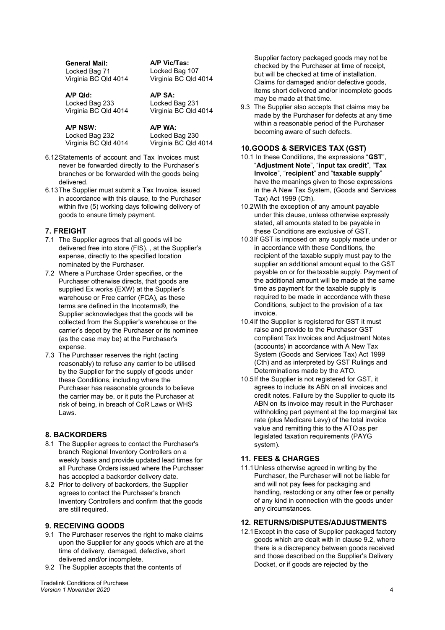**General Mail:**  Locked Bag 71 Virginia BC Qld 4014

**A/P Qld:** Locked Bag 233 Virginia BC Qld 4014

**A/P NSW:** Locked Bag 232 Virginia BC Qld 4014 **A/P WA:** Locked Bag 230 Virginia BC Qld 4014

**A/P Vic/Tas:** Locked Bag 107 Virginia BC Qld 4014

**A/P SA:** Locked Bag 231 Virginia BC Qld 4014

- 6.12Statements of account and Tax Invoices must never be forwarded directly to the Purchaser's branches or be forwarded with the goods being delivered.
- 6.13The Supplier must submit a Tax Invoice, issued in accordance with this clause, to the Purchaser within five (5) working days following delivery of goods to ensure timely payment.

# **7. FREIGHT**

- 7.1 The Supplier agrees that all goods will be delivered free into store (FIS), , at the Supplier's expense, directly to the specified location nominated by the Purchaser.
- 7.2 Where a Purchase Order specifies, or the Purchaser otherwise directs, that goods are supplied Ex works (EXW) at the Supplier's warehouse or Free carrier (FCA), as these terms are defined in the Incoterms®, the Supplier acknowledges that the goods will be collected from the Supplier's warehouse or the carrier's depot by the Purchaser or its nominee (as the case may be) at the Purchaser's expense.
- 7.3 The Purchaser reserves the right (acting reasonably) to refuse any carrier to be utilised by the Supplier for the supply of goods under these Conditions, including where the Purchaser has reasonable grounds to believe the carrier may be, or it puts the Purchaser at risk of being, in breach of CoR Laws or WHS Laws.

# **8. BACKORDERS**

- 8.1 The Supplier agrees to contact the Purchaser's branch Regional Inventory Controllers on a weekly basis and provide updated lead times for all Purchase Orders issued where the Purchaser has accepted a backorder delivery date.
- 8.2 Prior to delivery of backorders, the Supplier agrees to contact the Purchaser's branch Inventory Controllers and confirm that the goods are still required.

# **9. RECEIVING GOODS**

- 9.1 The Purchaser reserves the right to make claims upon the Supplier for any goods which are at the time of delivery, damaged, defective, short delivered and/or incomplete.
- 9.2 The Supplier accepts that the contents of

Tradelink Conditions of Purchase *Version 1 November 2020* 4

Supplier factory packaged goods may not be checked by the Purchaser at time of receipt, but will be checked at time of installation. Claims for damaged and/or defective goods, items short delivered and/or incomplete goods may be made at that time.

9.3 The Supplier also accepts that claims may be made by the Purchaser for defects at any time within a reasonable period of the Purchaser becoming aware of such defects.

# **10.GOODS & SERVICES TAX (GST)**

- 10.1 In these Conditions, the expressions "**GST**", "**Adjustment Note**", "**input tax credit**", "**Tax Invoice**", "**recipient**" and "**taxable supply**" have the meanings given to those expressions in the A New Tax System, (Goods and Services Tax) Act 1999 (Cth).
- 10.2With the exception of any amount payable under this clause, unless otherwise expressly stated, all amounts stated to be payable in these Conditions are exclusive of GST.
- 10.3If GST is imposed on any supply made under or in accordance with these Conditions, the recipient of the taxable supply must pay to the supplier an additional amount equal to the GST payable on or for the taxable supply. Payment of the additional amount will be made at the same time as payment for the taxable supply is required to be made in accordance with these Conditions, subject to the provision of a tax invoice.
- 10.4If the Supplier is registered for GST it must raise and provide to the Purchaser GST compliant Tax Invoices and Adjustment Notes (accounts) in accordance with A New Tax System (Goods and Services Tax) Act 1999 (Cth) and as interpreted by GST Rulings and Determinations made by the ATO.
- 10.5If the Supplier is not registered for GST, it agrees to include its ABN on all invoices and credit notes. Failure by the Supplier to quote its ABN on its invoice may result in the Purchaser withholding part payment at the top marginal tax rate (plus Medicare Levy) of the total invoice value and remitting this to the ATOas per legislated taxation requirements (PAYG system).

# **11. FEES & CHARGES**

11.1Unless otherwise agreed in writing by the Purchaser, the Purchaser will not be liable for and will not pay fees for packaging and handling, restocking or any other fee or penalty of any kind in connection with the goods under any circumstances.

# <span id="page-3-0"></span>**12. RETURNS/DISPUTES/ADJUSTMENTS**

12.1Except in the case of Supplier packaged factory goods which are dealt with in clause 9.2, where there is a discrepancy between goods received and those described on the Supplier's Delivery Docket, or if goods are rejected by the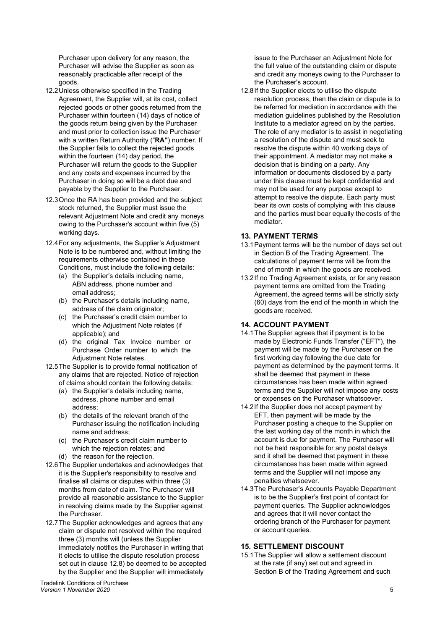Purchaser upon delivery for any reason, the Purchaser will advise the Supplier as soon as reasonably practicable after receipt of the goods.

- 12.2Unless otherwise specified in the Trading Agreement, the Supplier will, at its cost, collect rejected goods or other goods returned from the Purchaser within fourteen (14) days of notice of the goods return being given by the Purchaser and must prior to collection issue the Purchaser with a written Return Authority ("**RA"**) number. If the Supplier fails to collect the rejected goods within the fourteen (14) day period, the Purchaser will return the goods to the Supplier and any costs and expenses incurred by the Purchaser in doing so will be a debt due and payable by the Supplier to the Purchaser.
- 12.3Once the RA has been provided and the subject stock returned, the Supplier must issue the relevant Adjustment Note and credit any moneys owing to the Purchaser's account within five (5) working days.
- 12.4For any adjustments, the Supplier's Adjustment Note is to be numbered and, without limiting the requirements otherwise contained in these Conditions, must include the following details:
	- (a) the Supplier's details including name, ABN address, phone number and email address;
	- (b) the Purchaser's details including name, address of the claim originator;
	- (c) the Purchaser's credit claim number to which the Adjustment Note relates (if applicable); and
	- (d) the original Tax Invoice number or Purchase Order number to which the Adjustment Note relates.
- 12.5The Supplier is to provide formal notification of any claims that are rejected. Notice of rejection of claims should contain the following details:
	- (a) the Supplier's details including name,
	- address, phone number and email address;
	- (b) the details of the relevant branch of the Purchaser issuing the notification including name and address;
	- (c) the Purchaser's credit claim number to which the rejection relates; and
	- (d) the reason for the rejection.
- 12.6The Supplier undertakes and acknowledges that it is the Supplier's responsibility to resolve and finalise all claims or disputes within three (3) months from date of claim. The Purchaser will provide all reasonable assistance to the Supplier in resolving claims made by the Supplier against the Purchaser.
- 12.7The Supplier acknowledges and agrees that any claim or dispute not resolved within the required three (3) months will (unless the Supplier immediately notifies the Purchaser in writing that it elects to utilise the dispute resolution process set out in clause [12.8\)](#page-4-0) be deemed to be accepted by the Supplier and the Supplier will immediately

Tradelink Conditions of Purchase *Version 1 November 2020* 5

issue to the Purchaser an Adjustment Note for the full value of the outstanding claim or dispute and credit any moneys owing to the Purchaser to the Purchaser's account.

<span id="page-4-0"></span>12.8If the Supplier elects to utilise the dispute resolution process, then the claim or dispute is to be referred for mediation in accordance with the mediation guidelines published by the Resolution Institute to a mediator agreed on by the parties. The role of any mediator is to assist in negotiating a resolution of the dispute and must seek to resolve the dispute within 40 working days of their appointment. A mediator may not make a decision that is binding on a party. Any information or documents disclosed by a party under this clause must be kept confidential and may not be used for any purpose except to attempt to resolve the dispute. Each party must bear its own costs of complying with this clause and the parties must bear equally thecosts of the mediator.

# **13. PAYMENT TERMS**

- 13.1Payment terms will be the number of days set out in Section B of the Trading Agreement. The calculations of payment terms will be from the end of month in which the goods are received.
- 13.2If no Trading Agreement exists, or for any reason payment terms are omitted from the Trading Agreement, the agreed terms will be strictly sixty (60) days from the end of the month in which the goods are received.

# **14. ACCOUNT PAYMENT**

- 14.1The Supplier agrees that if payment is to be made by Electronic Funds Transfer ("EFT"), the payment will be made by the Purchaser on the first working day following the due date for payment as determined by the payment terms. It shall be deemed that payment in these circumstances has been made within agreed terms and the Supplier will not impose any costs or expenses on the Purchaser whatsoever.
- 14.2If the Supplier does not accept payment by EFT, then payment will be made by the Purchaser posting a cheque to the Supplier on the last working day of the month in which the account is due for payment. The Purchaser will not be held responsible for any postal delays and it shall be deemed that payment in these circumstances has been made within agreed terms and the Supplier will not impose any penalties whatsoever.
- 14.3The Purchaser's Accounts Payable Department is to be the Supplier's first point of contact for payment queries. The Supplier acknowledges and agrees that it will never contact the ordering branch of the Purchaser for payment or account queries.

# **15. SETTLEMENT DISCOUNT**

15.1The Supplier will allow a settlement discount at the rate (if any) set out and agreed in Section B of the Trading Agreement and such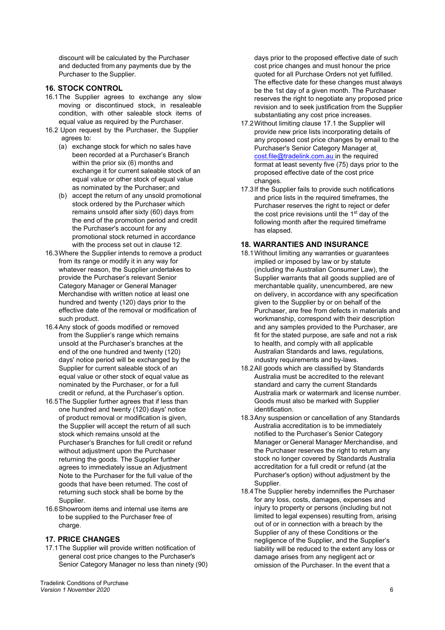discount will be calculated by the Purchaser and deducted from any payments due by the Purchaser to the Supplier.

# **16. STOCK CONTROL**

- 16.1The Supplier agrees to exchange any slow moving or discontinued stock, in resaleable condition, with other saleable stock items of equal value as required by the Purchaser.
- 16.2 Upon request by the Purchaser, the Supplier agrees to:
	- (a) exchange stock for which no sales have been recorded at a Purchaser's Branch within the prior six (6) months and exchange it for current saleable stock of an equal value or other stock of equal value as nominated by the Purchaser; and
	- (b) accept the return of any unsold promotional stock ordered by the Purchaser which remains unsold after sixty (60) days from the end of the promotion period and credit the Purchaser's account for any promotional stock returned in accordance with the process set out in clause [12.](#page-3-0)
- 16.3Where the Supplier intends to remove a product from its range or modify it in any way for whatever reason, the Supplier undertakes to provide the Purchaser's relevant Senior Category Manager or General Manager Merchandise with written notice at least one hundred and twenty (120) days prior to the effective date of the removal or modification of such product.
- 16.4Any stock of goods modified or removed from the Supplier's range which remains unsold at the Purchaser's branches at the end of the one hundred and twenty (120) days' notice period will be exchanged by the Supplier for current saleable stock of an equal value or other stock of equal value as nominated by the Purchaser, or for a full credit or refund, at the Purchaser's option.
- 16.5The Supplier further agrees that if less than one hundred and twenty (120) days' notice of product removal or modification is given, the Supplier will accept the return of all such stock which remains unsold at the Purchaser's Branches for full credit or refund without adjustment upon the Purchaser returning the goods. The Supplier further agrees to immediately issue an Adjustment Note to the Purchaser for the full value of the goods that have been returned. The cost of returning such stock shall be borne by the Supplier.
- 16.6Showroom items and internal use items are to be supplied to the Purchaser free of charge.

#### **17. PRICE CHANGES**

17.1The Supplier will provide written notification of general cost price changes to the Purchaser's Senior Category Manager no less than ninety (90) days prior to the proposed effective date of such cost price changes and must honour the price quoted for all Purchase Orders not yet fulfilled. The effective date for these changes must always be the 1st day of a given month. The Purchaser reserves the right to negotiate any proposed price revision and to seek justification from the Supplier substantiating any cost price increases.

- 17.2Without limiting clause 17.1 the Supplier will provide new price lists incorporating details of any proposed cost price changes by email to the Purchaser's Senior Category Manager a[t](mailto:%20cost.file@tradelink.com.au) [cost.file@tradelink.com.au](mailto:%20cost.file@tradelink.com.au) in the required format at least seventy five (75) days prior to the proposed effective date of the cost price changes.
- 17.3If the Supplier fails to provide such notifications and price lists in the required timeframes, the Purchaser reserves the right to reject or defer the cost price revisions until the  $1<sup>st</sup>$  day of the following month after the required timeframe has elapsed.

#### **18. WARRANTIES AND INSURANCE**

- 18.1Without limiting any warranties or guarantees implied or imposed by law or by statute (including the Australian Consumer Law), the Supplier warrants that all goods supplied are of merchantable quality, unencumbered, are new on delivery, in accordance with any specification given to the Supplier by or on behalf of the Purchaser, are free from defects in materials and workmanship, correspond with their description and any samples provided to the Purchaser, are fit for the stated purpose, are safe and not a risk to health, and comply with all applicable Australian Standards and laws, regulations, industry requirements and by-laws.
- 18.2All goods which are classified by Standards Australia must be accredited to the relevant standard and carry the current Standards Australia mark or watermark and license number. Goods must also be marked with Supplier identification.
- 18.3Any suspension or cancellation of any Standards Australia accreditation is to be immediately notified to the Purchaser's Senior Category Manager or General Manager Merchandise, and the Purchaser reserves the right to return any stock no longer covered by Standards Australia accreditation for a full credit or refund (at the Purchaser's option) without adjustment by the Supplier.
- 18.4The Supplier hereby indemnifies the Purchaser for any loss, costs, damages, expenses and injury to property or persons (including but not limited to legal expenses) resulting from, arising out of or in connection with a breach by the Supplier of any of these Conditions or the negligence of the Supplier, and the Supplier's liability will be reduced to the extent any loss or damage arises from any negligent act or omission of the Purchaser. In the event that a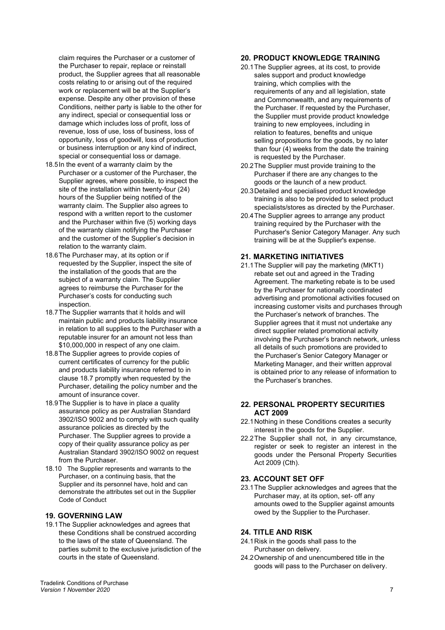claim requires the Purchaser or a customer of the Purchaser to repair, replace or reinstall product, the Supplier agrees that all reasonable costs relating to or arising out of the required work or replacement will be at the Supplier's expense. Despite any other provision of these Conditions, neither party is liable to the other for any indirect, special or consequential loss or damage which includes loss of profit, loss of revenue, loss of use, loss of business, loss of opportunity, loss of goodwill, loss of production or business interruption or any kind of indirect, special or consequential loss or damage.

- 18.5In the event of a warranty claim by the Purchaser or a customer of the Purchaser, the Supplier agrees, where possible, to inspect the site of the installation within twenty-four (24) hours of the Supplier being notified of the warranty claim. The Supplier also agrees to respond with a written report to the customer and the Purchaser within five (5) working days of the warranty claim notifying the Purchaser and the customer of the Supplier's decision in relation to the warranty claim.
- 18.6The Purchaser may, at its option or if requested by the Supplier, inspect the site of the installation of the goods that are the subject of a warranty claim. The Supplier agrees to reimburse the Purchaser for the Purchaser's costs for conducting such inspection.
- 18.7The Supplier warrants that it holds and will maintain public and products liability insurance in relation to all supplies to the Purchaser with a reputable insurer for an amount not less than \$10,000,000 in respect of any one claim.
- 18.8The Supplier agrees to provide copies of current certificates of currency for the public and products liability insurance referred to in clause 18.7 promptly when requested by the Purchaser, detailing the policy number and the amount of insurance cover.
- 18.9The Supplier is to have in place a quality assurance policy as per Australian Standard 3902/ISO 9002 and to comply with such quality assurance policies as directed by the Purchaser. The Supplier agrees to provide a copy of their quality assurance policy as per Australian Standard 3902/ISO 9002 on request from the Purchaser.
- 18.10 The Supplier represents and warrants to the Purchaser, on a continuing basis, that the Supplier and its personnel have, hold and can demonstrate the attributes set out in the Supplier Code of Conduct

## **19. GOVERNING LAW**

19.1The Supplier acknowledges and agrees that these Conditions shall be construed according to the laws of the state of Queensland. The parties submit to the exclusive jurisdiction of the courts in the state of Queensland.

# **20. PRODUCT KNOWLEDGE TRAINING**

- 20.1The Supplier agrees, at its cost, to provide sales support and product knowledge training, which complies with the requirements of any and all legislation, state and Commonwealth, and any requirements of the Purchaser. If requested by the Purchaser, the Supplier must provide product knowledge training to new employees, including in relation to features, benefits and unique selling propositions for the goods, by no later than four (4) weeks from the date the training is requested by the Purchaser.
- 20.2The Supplier must provide training to the Purchaser if there are any changes to the goods or the launch of a new product.
- 20.3Detailed and specialised product knowledge training is also to be provided to select product specialists/stores as directed by the Purchaser.
- 20.4The Supplier agrees to arrange any product training required by the Purchaser with the Purchaser's Senior Category Manager. Any such training will be at the Supplier's expense.

#### **21. MARKETING INITIATIVES**

21.1The Supplier will pay the marketing (MKT1) rebate set out and agreed in the Trading Agreement. The marketing rebate is to be used by the Purchaser for nationally coordinated advertising and promotional activities focused on increasing customer visits and purchases through the Purchaser's network of branches. The Supplier agrees that it must not undertake any direct supplier related promotional activity involving the Purchaser's branch network, unless all details of such promotions are provided to the Purchaser's Senior Category Manager or Marketing Manager, and their written approval is obtained prior to any release of information to the Purchaser's branches.

#### **22. PERSONAL PROPERTY SECURITIES ACT 2009**

- 22.1Nothing in these Conditions creates a security interest in the goods for the Supplier.
- 22.2The Supplier shall not, in any circumstance, register or seek to register an interest in the goods under the Personal Property Securities Act 2009 (Cth).

#### **23. ACCOUNT SET OFF**

23.1The Supplier acknowledges and agrees that the Purchaser may, at its option, set- off any amounts owed to the Supplier against amounts owed by the Supplier to the Purchaser.

#### **24. TITLE AND RISK**

- 24.1Risk in the goods shall pass to the Purchaser on delivery.
- 24.2Ownership of and unencumbered title in the goods will pass to the Purchaser on delivery.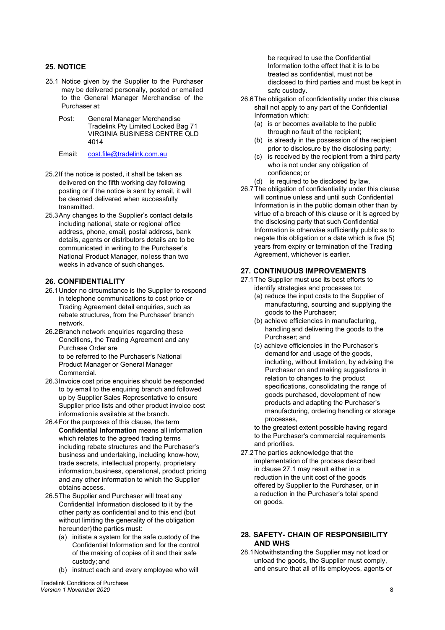# **25. NOTICE**

- 25.1 Notice given by the Supplier to the Purchaser may be delivered personally, posted or emailed to the General Manager Merchandise of the Purchaser at:
	- Post: General Manager Merchandise Tradelink Pty Limited Locked Bag 71 VIRGINIA BUSINESS CENTRE QLD 4014
	- Email: [cost.file@tradelink.com.au](mailto:cost.file@tradelink.com.au)
- 25.2If the notice is posted, it shall be taken as delivered on the fifth working day following posting or if the notice is sent by email, it will be deemed delivered when successfully transmitted.
- 25.3Any changes to the Supplier's contact details including national, state or regional office address, phone, email, postal address, bank details, agents or distributors details are to be communicated in writing to the Purchaser's National Product Manager, noless than two weeks in advance of such changes.

# **26. CONFIDENTIALITY**

- 26.1Under no circumstance is the Supplier to respond in telephone communications to cost price or Trading Agreement detail enquiries, such as rebate structures, from the Purchaser' branch network.
- 26.2Branch network enquiries regarding these Conditions, the Trading Agreement and any Purchase Order are to be referred to the Purchaser's National Product Manager or General Manager Commercial.
- 26.3Invoice cost price enquiries should be responded to by email to the enquiring branch and followed up by Supplier Sales Representative to ensure Supplier price lists and other product invoice cost information is available at the branch.
- 26.4For the purposes of this clause, the term **Confidential Information** means all information which relates to the agreed trading terms including rebate structures and the Purchaser's business and undertaking, including know-how, trade secrets, intellectual property, proprietary information, business, operational, product pricing and any other information to which the Supplier obtains access.
- 26.5The Supplier and Purchaser will treat any Confidential Information disclosed to it by the other party as confidential and to this end (but without limiting the generality of the obligation hereunder) the parties must:
	- (a) initiate a system for the safe custody of the Confidential Information and for the control of the making of copies of it and their safe custody; and
	- (b) instruct each and every employee who will

Tradelink Conditions of Purchase *Version 1 November 2020* 8

be required to use the Confidential Information to the effect that it is to be treated as confidential, must not be disclosed to third parties and must be kept in safe custody.

- 26.6The obligation of confidentiality under this clause shall not apply to any part of the Confidential Information which:
	- (a) is or becomes available to the public through no fault of the recipient;
	- (b) is already in the possession of the recipient prior to disclosure by the disclosing party;
	- (c) is received by the recipient from a third party who is not under any obligation of confidence; or
	- (d) is required to be disclosed by law.
- 26.7The obligation of confidentiality under this clause will continue unless and until such Confidential Information is in the public domain other than by virtue of a breach of this clause or it is agreed by the disclosing party that such Confidential Information is otherwise sufficiently public as to negate this obligation or a date which is five (5) years from expiry or termination of the Trading Agreement, whichever is earlier.

# **27. CONTINUOUS IMPROVEMENTS**

- 27.1The Supplier must use its best efforts to identify strategies and processes to:
	- (a) reduce the input costs to the Supplier of manufacturing, sourcing and supplying the goods to the Purchaser;
	- (b) achieve efficiencies in manufacturing, handling and delivering the goods to the Purchaser; and
	- (c) achieve efficiencies in the Purchaser's demand for and usage of the goods, including, without limitation, by advising the Purchaser on and making suggestions in relation to changes to the product specifications, consolidating the range of goods purchased, development of new products and adapting the Purchaser's manufacturing, ordering handling or storage processes,

to the greatest extent possible having regard to the Purchaser's commercial requirements and priorities.

27.2The parties acknowledge that the implementation of the process described in clause 27.1 may result either in a reduction in the unit cost of the goods offered by Supplier to the Purchaser, or in a reduction in the Purchaser's total spend on goods.

#### **28. SAFETY- CHAIN OF RESPONSIBILITY AND WHS**

28.1Notwithstanding the Supplier may not load or unload the goods, the Supplier must comply, and ensure that all of its employees, agents or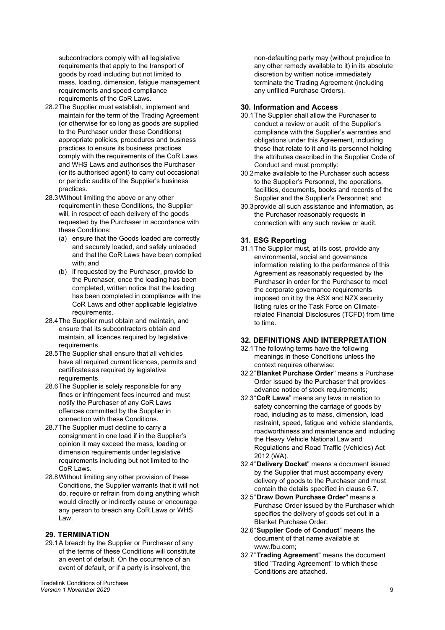subcontractors comply with all legislative requirements that apply to the transport of goods by road including but not limited to mass, loading, dimension, fatigue management requirements and speed compliance requirements of the CoR Laws.

- 28.2The Supplier must establish, implement and maintain for the term of the Trading Agreement (or otherwise for so long as goods are supplied to the Purchaser under these Conditions) appropriate policies, procedures and business practices to ensure its business practices comply with the requirements of the CoR Laws and WHS Laws and authorises the Purchaser (or its authorised agent) to carry out occasional or periodic audits of the Supplier's business practices.
- 28.3Without limiting the above or any other requirement in these Conditions, the Supplier will, in respect of each delivery of the goods requested by the Purchaser in accordance with these Conditions:
	- (a) ensure that the Goods loaded are correctly and securely loaded, and safely unloaded and that the CoR Laws have been complied with; and
	- (b) if requested by the Purchaser, provide to the Purchaser, once the loading has been completed, written notice that the loading has been completed in compliance with the CoR Laws and other applicable legislative requirements.
- 28.4The Supplier must obtain and maintain, and ensure that its subcontractors obtain and maintain, all licences required by legislative requirements.
- 28.5The Supplier shall ensure that all vehicles have all required current licences, permits and certificates as required by legislative requirements.
- 28.6The Supplier is solely responsible for any fines or infringement fees incurred and must notify the Purchaser of any CoR Laws offences committed by the Supplier in connection with these Conditions.
- 28.7The Supplier must decline to carry a consignment in one load if in the Supplier's opinion it may exceed the mass, loading or dimension requirements under legislative requirements including but not limited to the CoR Laws.
- 28.8Without limiting any other provision of these Conditions, the Supplier warrants that it will not do, require or refrain from doing anything which would directly or indirectly cause or encourage any person to breach any CoR Laws or WHS Law.

#### **29. TERMINATION**

29.1A breach by the Supplier or Purchaser of any of the terms of these Conditions will constitute an event of default. On the occurrence of an event of default, or if a party is insolvent, the

Tradelink Conditions of Purchase *Version 1 November 2020* 9

non-defaulting party may (without prejudice to any other remedy available to it) in its absolute discretion by written notice immediately terminate the Trading Agreement (including any unfilled Purchase Orders).

## **30. Information and Access**

- 30.1The Supplier shall allow the Purchaser to conduct a review or audit of the Supplier's compliance with the Supplier's warranties and obligations under this Agreement, including those that relate to it and its personnel holding the attributes described in the Supplier Code of Conduct and must promptly:
- 30.2make available to the Purchaser such access to the Supplier's Personnel, the operations, facilities, documents, books and records of the Supplier and the Supplier's Personnel; and
- 30.3provide all such assistance and information, as the Purchaser reasonably requests in connection with any such review or audit.

# **31. ESG Reporting**

31.1The Supplier must, at its cost, provide any environmental, social and governance information relating to the performance of this Agreement as reasonably requested by the Purchaser in order for the Purchaser to meet the corporate governance requirements imposed on it by the ASX and NZX security listing rules or the Task Force on Climaterelated Financial Disclosures (TCFD) from time to time.

# **32. DEFINITIONS AND INTERPRETATION**

- 32.1The following terms have the following meanings in these Conditions unless the context requires otherwise:
- 32.2"**Blanket Purchase Order**" means a Purchase Order issued by the Purchaser that provides advance notice of stock requirements;
- 32.3"**CoR Laws**" means any laws in relation to safety concerning the carriage of goods by road, including as to mass, dimension, load restraint, speed, fatigue and vehicle standards, roadworthiness and maintenance and including the Heavy Vehicle National Law and Regulations and Road Traffic (Vehicles) Act 2012 (WA).
- 32.4"**Delivery Docket**" means a document issued by the Supplier that must accompany every delivery of goods to the Purchaser and must contain the details specified in claus[e 6.7.](#page-2-0)
- 32.5"**Draw Down Purchase Order**" means a Purchase Order issued by the Purchaser which specifies the delivery of goods set out in a Blanket Purchase Order;
- 32.6"**Supplier Code of Conduct**" means the document of that name available at [www.fbu.com;](http://www.fbu.com/)
- 32.7"**Trading Agreement**" means the document titled "Trading Agreement" to which these Conditions are attached.